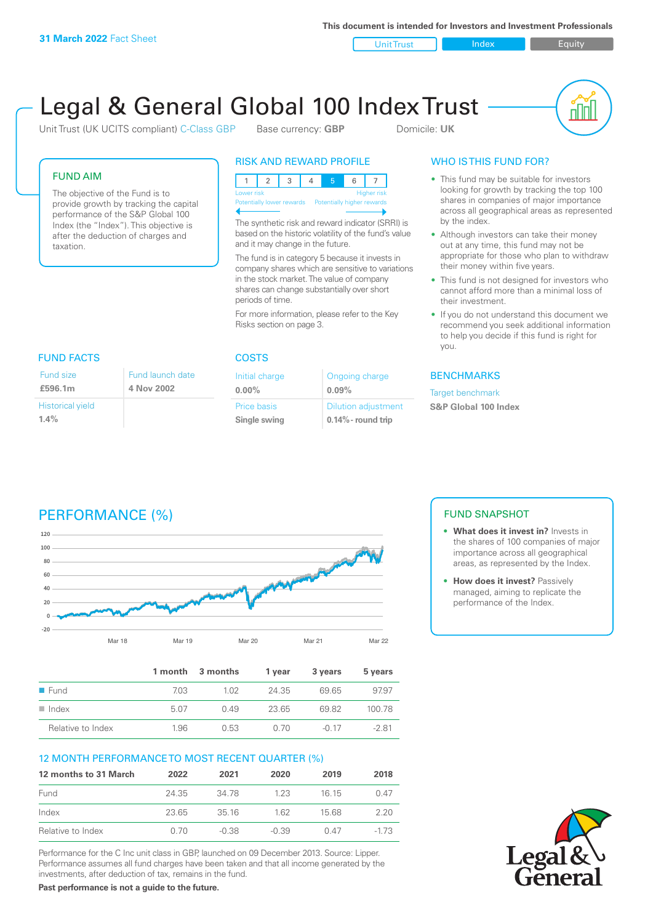**This document is intended for Investors and Investment Professionals**

Unit Trust Index I Equity



# Legal & General Global 100 Index Trust

Unit Trust (UK UCITS compliant) C-Class GBP Base currency: GBP Domicile: UK

#### FUND AIM

The objective of the Fund is to provide growth by tracking the capital performance of the S&P Global 100 Index (the "Index"). This objective is after the deduction of charges and taxation.

#### RISK AND REWARD PROFILE

123 4 5 6 7 Higher risk ntially lower rewards Potentially higher rewards

The synthetic risk and reward indicator (SRRI) is based on the historic volatility of the fund's value and it may change in the future.

The fund is in category 5 because it invests in company shares which are sensitive to variations in the stock market. The value of company shares can change substantially over short periods of time.

For more information, please refer to the Key Risks section on page 3.

| Fund launch date |
|------------------|
| 4 Nov 2002       |
|                  |
|                  |
|                  |

#### COSTS

| Initial charge     | Ongoing charge             |
|--------------------|----------------------------|
| $0.00\%$           | 0.09%                      |
| <b>Price basis</b> | <b>Dilution adjustment</b> |
| Single swing       | $0.14\%$ - round trip      |

### WHO IS THIS FUND FOR?

- This fund may be suitable for investors looking for growth by tracking the top 100 shares in companies of major importance across all geographical areas as represented by the index.
- Although investors can take their money out at any time, this fund may not be appropriate for those who plan to withdraw their money within five years.
- This fund is not designed for investors who cannot afford more than a minimal loss of their investment.
- If you do not understand this document we recommend you seek additional information to help you decide if this fund is right for you.

#### **BENCHMARKS**

Target benchmark

**S&P Global 100 Index**

# PERFORMANCE (%)



|                      |      | 1 month 3 months | 1 year | 3 years | 5 years |
|----------------------|------|------------------|--------|---------|---------|
| $\blacksquare$ Fund  | 7.03 | 1.02             | 24.35  | 69.65   | 97.97   |
| $\blacksquare$ Index | 5.07 | 0.49             | 23.65  | 6982    | 100.78  |
| Relative to Index    | 1.96 | 0.53             | 0. ZO  | $-0.17$ | $-281$  |

#### 12 MONTH PERFORMANCE TO MOST RECENT QUARTER (%)

| 12 months to 31 March | 2022  | 2021    | 2020    | 2019  | 2018  |
|-----------------------|-------|---------|---------|-------|-------|
| Fund                  | 24.35 | 34 78   | 123     | 16 15 | 0.47  |
| Index                 | 23.65 | 35 16   | 162     | 15.68 | 220   |
| Relative to Index     | 0. 70 | $-0.38$ | $-0.39$ | 0 47  | -1 73 |

Performance for the C Inc unit class in GBP, launched on 09 December 2013. Source: Lipper. Performance assumes all fund charges have been taken and that all income generated by the investments, after deduction of tax, remains in the fund.

FUND SNAPSHOT

- **• What does it invest in?** Invests in the shares of 100 companies of major importance across all geographical areas, as represented by the Index.
- **• How does it invest?** Passively managed, aiming to replicate the performance of the Index.



**Past performance is not a guide to the future.**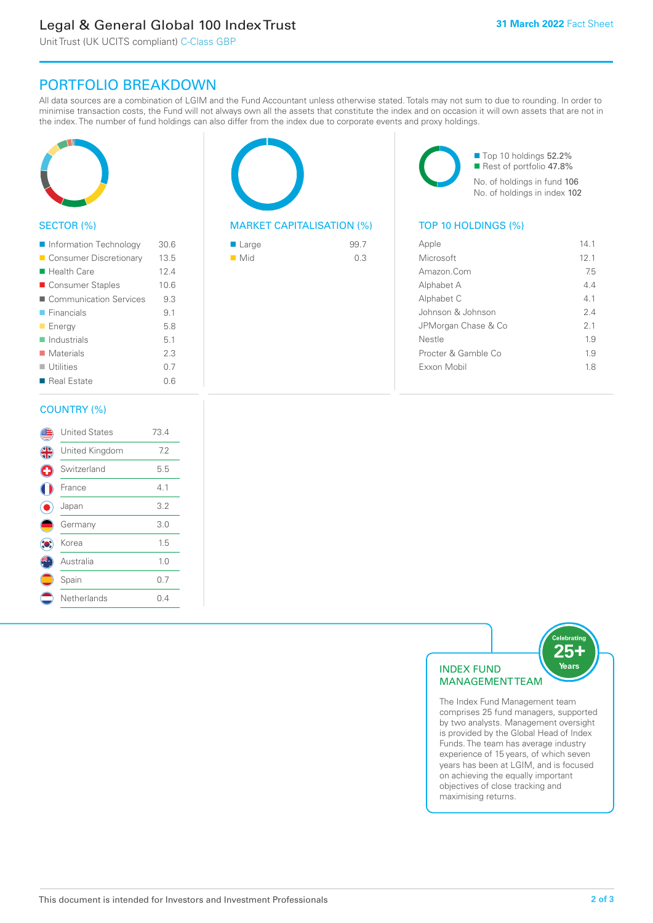# Legal & General Global 100 Index Trust

Unit Trust (UK UCITS compliant) C-Class GBP

### PORTFOLIO BREAKDOWN

All data sources are a combination of LGIM and the Fund Accountant unless otherwise stated. Totals may not sum to due to rounding. In order to minimise transaction costs, the Fund will not always own all the assets that constitute the index and on occasion it will own assets that are not in the index. The number of fund holdings can also differ from the index due to corporate events and proxy holdings.



#### SECTOR (%)

| Information Technology     | 30.6 |
|----------------------------|------|
| ■ Consumer Discretionary   | 13.5 |
| ■ Health Care              | 12.4 |
| ■ Consumer Staples         | 10.6 |
| ■ Communication Services   | 9.3  |
| $\blacksquare$ Financials  | 9.1  |
| <b>Energy</b>              | 5.8  |
| $\blacksquare$ Industrials | 5.1  |
| $\blacksquare$ Materials   | 2.3  |
| $\blacksquare$ Utilities   | 0.7  |
| ■ Real Estate              | 0.6  |
|                            |      |

# COUNTRY (%)

|   | <b>United States</b> | 73.4 |
|---|----------------------|------|
| 4 | United Kingdom       | 7.2  |
| Œ | Switzerland          | 5.5  |
|   | France               | 4.1  |
|   | Japan                | 3.2  |
|   | Germany              | 3.0  |
|   | Korea                | 1.5  |
|   | Australia            | 1.0  |
|   | Spain                | 0.7  |
|   | Netherlands          | 0.4  |
|   |                      |      |



#### MARKET CAPITALISATION (%) TOP 10 HOLDINGS (%)

| $\blacksquare$ Large | 99.7 |
|----------------------|------|
| $\blacksquare$ Mid   | 0.3  |

■ Top 10 holdings 52.2% Rest of portfolio 47.8% No. of holdings in fund 106 No. of holdings in index 102

| Apple                | 14 1 |
|----------------------|------|
| Microsoft            | 12.1 |
| Amazon Com           | 75   |
| Alphabet A           | 44   |
| Alphabet C           | 41   |
| Johnson & Johnson    | 24   |
| JPMorgan Chase & Co  | 2.1  |
| Nestle               | 19   |
| Procter & Gamble Co. | 19   |
| Exxon Mobil          | 18   |
|                      |      |



The Index Fund Management team comprises 25 fund managers, supported by two analysts. Management oversight is provided by the Global Head of Index Funds. The team has average industry experience of 15 years, of which seven years has been at LGIM, and is focused on achieving the equally important objectives of close tracking and maximising returns.